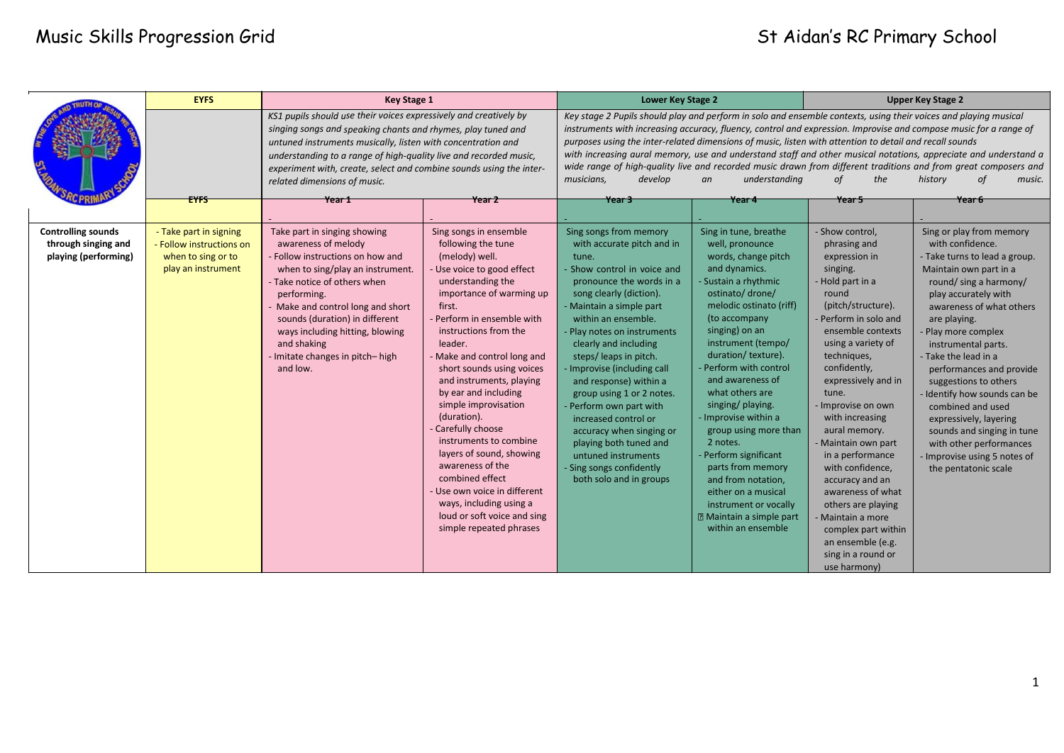### Music Skills Progression Grid States of Changes of Aidan's RC Primary School

|                                                                          | <b>EYFS</b>                                                                                    | <b>Key Stage 1</b>                                                                                                                                                                                                                                                                                                                                                                      |                                                                                                                                                                                                                                                                                                                                                                                                                                                                                                                                                                                                                        | Lower Key Stage 2                                                                                                                                                                                                                                                                                                                                                                                                                                                                                                                                                                                                                                                                                                      |                                                                                                                                                                                                                                                                                                                                                                                                                                                                                                                                                                      | <b>Upper Key Stage 2</b>                                                                                                                                                                                                                                                                                                                                                                                                                                                                                                                       |                                                                                                                                                                                                                                                                                                                                                                                                                                                                                                                            |
|--------------------------------------------------------------------------|------------------------------------------------------------------------------------------------|-----------------------------------------------------------------------------------------------------------------------------------------------------------------------------------------------------------------------------------------------------------------------------------------------------------------------------------------------------------------------------------------|------------------------------------------------------------------------------------------------------------------------------------------------------------------------------------------------------------------------------------------------------------------------------------------------------------------------------------------------------------------------------------------------------------------------------------------------------------------------------------------------------------------------------------------------------------------------------------------------------------------------|------------------------------------------------------------------------------------------------------------------------------------------------------------------------------------------------------------------------------------------------------------------------------------------------------------------------------------------------------------------------------------------------------------------------------------------------------------------------------------------------------------------------------------------------------------------------------------------------------------------------------------------------------------------------------------------------------------------------|----------------------------------------------------------------------------------------------------------------------------------------------------------------------------------------------------------------------------------------------------------------------------------------------------------------------------------------------------------------------------------------------------------------------------------------------------------------------------------------------------------------------------------------------------------------------|------------------------------------------------------------------------------------------------------------------------------------------------------------------------------------------------------------------------------------------------------------------------------------------------------------------------------------------------------------------------------------------------------------------------------------------------------------------------------------------------------------------------------------------------|----------------------------------------------------------------------------------------------------------------------------------------------------------------------------------------------------------------------------------------------------------------------------------------------------------------------------------------------------------------------------------------------------------------------------------------------------------------------------------------------------------------------------|
|                                                                          | <b>EYFS</b>                                                                                    | KS1 pupils should use their voices expressively and creatively by<br>singing songs and speaking chants and rhymes, play tuned and<br>untuned instruments musically, listen with concentration and<br>understanding to a range of high-quality live and recorded music,<br>experiment with, create, select and combine sounds using the inter-<br>related dimensions of music.<br>Year 1 | Year 2                                                                                                                                                                                                                                                                                                                                                                                                                                                                                                                                                                                                                 | Key stage 2 Pupils should play and perform in solo and ensemble contexts, using their voices and playing musical<br>instruments with increasing accuracy, fluency, control and expression. Improvise and compose music for a range of<br>purposes using the inter-related dimensions of music, listen with attention to detail and recall sounds<br>with increasing aural memory, use and understand staff and other musical notations, appreciate and understand a<br>wide range of high-quality live and recorded music drawn from different traditions and from great composers and<br>musicians,<br>develop<br>understanding<br>the<br>of<br>history<br>οf<br>music.<br>an<br>Year 3<br>Year 5<br>Year 6<br>Year 4 |                                                                                                                                                                                                                                                                                                                                                                                                                                                                                                                                                                      |                                                                                                                                                                                                                                                                                                                                                                                                                                                                                                                                                |                                                                                                                                                                                                                                                                                                                                                                                                                                                                                                                            |
|                                                                          |                                                                                                |                                                                                                                                                                                                                                                                                                                                                                                         |                                                                                                                                                                                                                                                                                                                                                                                                                                                                                                                                                                                                                        |                                                                                                                                                                                                                                                                                                                                                                                                                                                                                                                                                                                                                                                                                                                        |                                                                                                                                                                                                                                                                                                                                                                                                                                                                                                                                                                      |                                                                                                                                                                                                                                                                                                                                                                                                                                                                                                                                                |                                                                                                                                                                                                                                                                                                                                                                                                                                                                                                                            |
| <b>Controlling sounds</b><br>through singing and<br>playing (performing) | - Take part in signing<br>- Follow instructions on<br>when to sing or to<br>play an instrument | Take part in singing showing<br>awareness of melody<br>- Follow instructions on how and<br>when to sing/play an instrument.<br>- Take notice of others when<br>performing.<br>- Make and control long and short<br>sounds (duration) in different<br>ways including hitting, blowing<br>and shaking<br>- Imitate changes in pitch-high<br>and low.                                      | Sing songs in ensemble<br>following the tune<br>(melody) well.<br>Use voice to good effect<br>understanding the<br>importance of warming up<br>first.<br>- Perform in ensemble with<br>instructions from the<br>leader.<br>- Make and control long and<br>short sounds using voices<br>and instruments, playing<br>by ear and including<br>simple improvisation<br>(duration).<br>- Carefully choose<br>instruments to combine<br>layers of sound, showing<br>awareness of the<br>combined effect<br>- Use own voice in different<br>ways, including using a<br>loud or soft voice and sing<br>simple repeated phrases | Sing songs from memory<br>with accurate pitch and in<br>tune.<br>Show control in voice and<br>pronounce the words in a<br>song clearly (diction).<br>Maintain a simple part<br>within an ensemble.<br>Play notes on instruments<br>clearly and including<br>steps/leaps in pitch.<br>Improvise (including call<br>and response) within a<br>group using 1 or 2 notes.<br>Perform own part with<br>increased control or<br>accuracy when singing or<br>playing both tuned and<br>untuned instruments<br>Sing songs confidently<br>both solo and in groups                                                                                                                                                               | Sing in tune, breathe<br>well, pronounce<br>words, change pitch<br>and dynamics.<br>Sustain a rhythmic<br>ostinato/ drone/<br>melodic ostinato (riff)<br>(to accompany<br>singing) on an<br>instrument (tempo/<br>duration/texture).<br>- Perform with control<br>and awareness of<br>what others are<br>singing/ playing.<br>- Improvise within a<br>group using more than<br>2 notes.<br>- Perform significant<br>parts from memory<br>and from notation,<br>either on a musical<br>instrument or vocally<br><b>2 Maintain a simple part</b><br>within an ensemble | - Show control,<br>phrasing and<br>expression in<br>singing.<br>- Hold part in a<br>round<br>(pitch/structure).<br>- Perform in solo and<br>ensemble contexts<br>using a variety of<br>techniques,<br>confidently,<br>expressively and in<br>tune.<br>- Improvise on own<br>with increasing<br>aural memory.<br>- Maintain own part<br>in a performance<br>with confidence,<br>accuracy and an<br>awareness of what<br>others are playing<br>Maintain a more<br>complex part within<br>an ensemble (e.g.<br>sing in a round or<br>use harmony) | Sing or play from memory<br>with confidence.<br>- Take turns to lead a group.<br>Maintain own part in a<br>round/ sing a harmony/<br>play accurately with<br>awareness of what others<br>are playing.<br>Play more complex<br>instrumental parts.<br>- Take the lead in a<br>performances and provide<br>suggestions to others<br>Identify how sounds can be<br>combined and used<br>expressively, layering<br>sounds and singing in tune<br>with other performances<br>Improvise using 5 notes of<br>the pentatonic scale |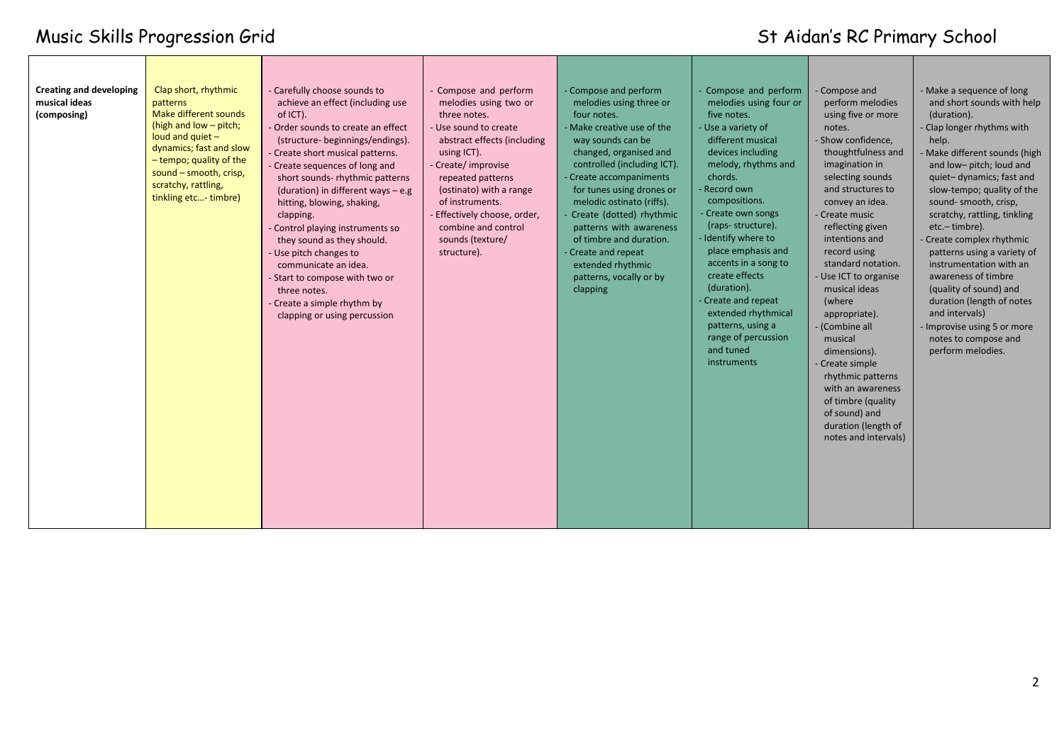# Music Skills Progression Grid St Aidan's RC Primary School

| <b>Creating and developing</b><br>musical ideas<br>(composing) | Clap short, rhythmic<br>patterns<br>Make different sounds<br>(high and low - pitch;<br>loud and quiet $-$<br>dynamics; fast and slow<br>- tempo; quality of the<br>sound - smooth, crisp,<br>scratchy, rattling,<br>tinkling etc- timbre) | - Carefully choose sounds to<br>achieve an effect (including use<br>of ICT).<br>- Order sounds to create an effect<br>(structure- beginnings/endings).<br>- Create short musical patterns.<br>- Create sequences of long and<br>short sounds- rhythmic patterns<br>(duration) in different ways $-$ e.g<br>hitting, blowing, shaking,<br>clapping.<br>- Control playing instruments so<br>they sound as they should.<br>- Use pitch changes to<br>communicate an idea.<br>- Start to compose with two or<br>three notes.<br>- Create a simple rhythm by<br>clapping or using percussion | - Compose and perform<br>melodies using two or<br>three notes.<br>- Use sound to create<br>abstract effects (including<br>using ICT).<br>Create/improvise<br>repeated patterns<br>(ostinato) with a range<br>of instruments.<br>Effectively choose, order,<br>combine and control<br>sounds (texture/<br>structure). | - Compose and perform<br>melodies using three or<br>four notes.<br>- Make creative use of the<br>way sounds can be<br>changed, organised and<br>controlled (including ICT).<br>Create accompaniments<br>for tunes using drones or<br>melodic ostinato (riffs).<br>Create (dotted) rhythmic<br>patterns with awareness<br>of timbre and duration.<br>Create and repeat<br>extended rhythmic<br>patterns, vocally or by<br>clapping | Compose and perform<br>melodies using four or<br>five notes.<br>- Use a variety of<br>different musical<br>devices including<br>melody, rhythms and<br>chords.<br>Record own<br>compositions.<br>- Create own songs<br>(raps-structure).<br>- Identify where to<br>place emphasis and<br>accents in a song to<br>create effects<br>(duration).<br>- Create and repeat<br>extended rhythmical<br>patterns, using a<br>range of percussion<br>and tuned<br>instruments | - Compose and<br>perform melodies<br>using five or more<br>notes.<br>- Show confidence,<br>thoughtfulness and<br>imagination in<br>selecting sounds<br>and structures to<br>convey an idea.<br>- Create music<br>reflecting given<br>intentions and<br>record using<br>standard notation.<br>- Use ICT to organise<br>musical ideas<br>(where<br>appropriate).<br>- (Combine all<br>musical<br>dimensions).<br>- Create simple<br>rhythmic patterns<br>with an awareness<br>of timbre (quality<br>of sound) and<br>duration (length of<br>notes and intervals) | - Make a sequence of long<br>and short sounds with help<br>(duration).<br>- Clap longer rhythms with<br>help.<br>Make different sounds (high<br>and low-pitch; loud and<br>quiet-dynamics; fast and<br>slow-tempo; quality of the<br>sound- smooth, crisp,<br>scratchy, rattling, tinkling<br>etc.-timbre).<br>Create complex rhythmic<br>patterns using a variety of<br>instrumentation with an<br>awareness of timbre<br>(quality of sound) and<br>duration (length of notes<br>and intervals)<br>- Improvise using 5 or more<br>notes to compose and<br>perform melodies. |
|----------------------------------------------------------------|-------------------------------------------------------------------------------------------------------------------------------------------------------------------------------------------------------------------------------------------|-----------------------------------------------------------------------------------------------------------------------------------------------------------------------------------------------------------------------------------------------------------------------------------------------------------------------------------------------------------------------------------------------------------------------------------------------------------------------------------------------------------------------------------------------------------------------------------------|----------------------------------------------------------------------------------------------------------------------------------------------------------------------------------------------------------------------------------------------------------------------------------------------------------------------|-----------------------------------------------------------------------------------------------------------------------------------------------------------------------------------------------------------------------------------------------------------------------------------------------------------------------------------------------------------------------------------------------------------------------------------|----------------------------------------------------------------------------------------------------------------------------------------------------------------------------------------------------------------------------------------------------------------------------------------------------------------------------------------------------------------------------------------------------------------------------------------------------------------------|----------------------------------------------------------------------------------------------------------------------------------------------------------------------------------------------------------------------------------------------------------------------------------------------------------------------------------------------------------------------------------------------------------------------------------------------------------------------------------------------------------------------------------------------------------------|------------------------------------------------------------------------------------------------------------------------------------------------------------------------------------------------------------------------------------------------------------------------------------------------------------------------------------------------------------------------------------------------------------------------------------------------------------------------------------------------------------------------------------------------------------------------------|
|----------------------------------------------------------------|-------------------------------------------------------------------------------------------------------------------------------------------------------------------------------------------------------------------------------------------|-----------------------------------------------------------------------------------------------------------------------------------------------------------------------------------------------------------------------------------------------------------------------------------------------------------------------------------------------------------------------------------------------------------------------------------------------------------------------------------------------------------------------------------------------------------------------------------------|----------------------------------------------------------------------------------------------------------------------------------------------------------------------------------------------------------------------------------------------------------------------------------------------------------------------|-----------------------------------------------------------------------------------------------------------------------------------------------------------------------------------------------------------------------------------------------------------------------------------------------------------------------------------------------------------------------------------------------------------------------------------|----------------------------------------------------------------------------------------------------------------------------------------------------------------------------------------------------------------------------------------------------------------------------------------------------------------------------------------------------------------------------------------------------------------------------------------------------------------------|----------------------------------------------------------------------------------------------------------------------------------------------------------------------------------------------------------------------------------------------------------------------------------------------------------------------------------------------------------------------------------------------------------------------------------------------------------------------------------------------------------------------------------------------------------------|------------------------------------------------------------------------------------------------------------------------------------------------------------------------------------------------------------------------------------------------------------------------------------------------------------------------------------------------------------------------------------------------------------------------------------------------------------------------------------------------------------------------------------------------------------------------------|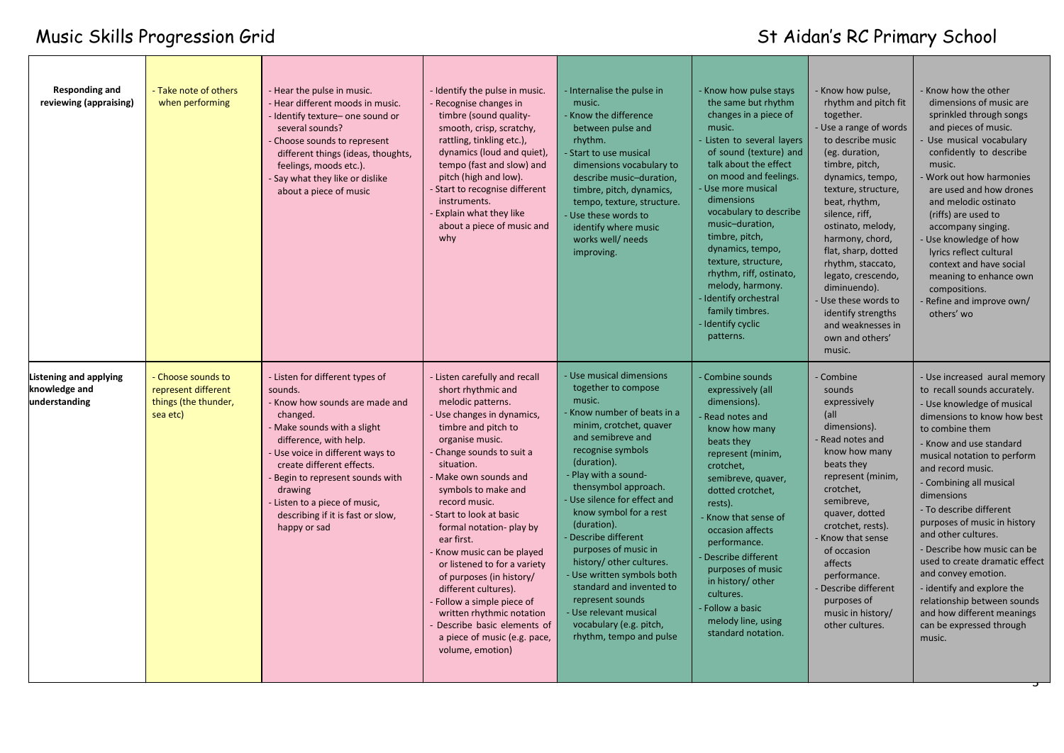## Music Skills Progression Grid States of Changes of Aidan's RC Primary School

| Responding and<br>reviewing (appraising)                 | - Take note of others<br>when performing                                      | - Hear the pulse in music.<br>- Hear different moods in music.<br>- Identify texture- one sound or<br>several sounds?<br>- Choose sounds to represent<br>different things (ideas, thoughts,<br>feelings, moods etc.).<br>- Say what they like or dislike<br>about a piece of music                                                              | - Identify the pulse in music.<br>- Recognise changes in<br>timbre (sound quality-<br>smooth, crisp, scratchy,<br>rattling, tinkling etc.),<br>dynamics (loud and quiet),<br>tempo (fast and slow) and<br>pitch (high and low).<br>- Start to recognise different<br>instruments.<br><b>Explain what they like</b><br>about a piece of music and<br>why                                                                                                                                                                                                                                 | Internalise the pulse in<br>music.<br>Know the difference<br>between pulse and<br>rhythm.<br>Start to use musical<br>dimensions vocabulary to<br>describe music-duration,<br>timbre, pitch, dynamics,<br>tempo, texture, structure.<br>Use these words to<br>identify where music<br>works well/ needs<br>improving.                                                                                                                                                                                                              | - Know how pulse stays<br>the same but rhythm<br>changes in a piece of<br>music.<br>Listen to several layers<br>of sound (texture) and<br>talk about the effect<br>on mood and feelings.<br>Use more musical<br>dimensions<br>vocabulary to describe<br>music-duration,<br>timbre, pitch,<br>dynamics, tempo,<br>texture, structure,<br>rhythm, riff, ostinato,<br>melody, harmony.<br>Identify orchestral<br>family timbres.<br>Identify cyclic<br>patterns. | - Know how pulse,<br>rhythm and pitch fit<br>together.<br>Use a range of words<br>to describe music<br>(eg. duration,<br>timbre, pitch,<br>dynamics, tempo,<br>texture, structure,<br>beat, rhythm,<br>silence, riff,<br>ostinato, melody,<br>harmony, chord,<br>flat, sharp, dotted<br>rhythm, staccato,<br>legato, crescendo,<br>diminuendo).<br>- Use these words to<br>identify strengths<br>and weaknesses in<br>own and others'<br>music. | Know how the other<br>dimensions of music are<br>sprinkled through songs<br>and pieces of music.<br>Use musical vocabulary<br>confidently to describe<br>music.<br>Work out how harmonies<br>are used and how drones<br>and melodic ostinato<br>(riffs) are used to<br>accompany singing.<br>Use knowledge of how<br>lyrics reflect cultural<br>context and have social<br>meaning to enhance own<br>compositions.<br>Refine and improve own/<br>others' wo                                                                                                                     |
|----------------------------------------------------------|-------------------------------------------------------------------------------|-------------------------------------------------------------------------------------------------------------------------------------------------------------------------------------------------------------------------------------------------------------------------------------------------------------------------------------------------|-----------------------------------------------------------------------------------------------------------------------------------------------------------------------------------------------------------------------------------------------------------------------------------------------------------------------------------------------------------------------------------------------------------------------------------------------------------------------------------------------------------------------------------------------------------------------------------------|-----------------------------------------------------------------------------------------------------------------------------------------------------------------------------------------------------------------------------------------------------------------------------------------------------------------------------------------------------------------------------------------------------------------------------------------------------------------------------------------------------------------------------------|---------------------------------------------------------------------------------------------------------------------------------------------------------------------------------------------------------------------------------------------------------------------------------------------------------------------------------------------------------------------------------------------------------------------------------------------------------------|-------------------------------------------------------------------------------------------------------------------------------------------------------------------------------------------------------------------------------------------------------------------------------------------------------------------------------------------------------------------------------------------------------------------------------------------------|---------------------------------------------------------------------------------------------------------------------------------------------------------------------------------------------------------------------------------------------------------------------------------------------------------------------------------------------------------------------------------------------------------------------------------------------------------------------------------------------------------------------------------------------------------------------------------|
| Listening and applying<br>knowledge and<br>understanding | - Choose sounds to<br>represent different<br>things (the thunder,<br>sea etc) | - Listen for different types of<br>sounds.<br>- Know how sounds are made and<br>changed.<br>Make sounds with a slight<br>difference, with help.<br>Use voice in different ways to<br>create different effects.<br>Begin to represent sounds with<br>drawing<br>Listen to a piece of music,<br>describing if it is fast or slow,<br>happy or sad | - Listen carefully and recall<br>short rhythmic and<br>melodic patterns.<br>Use changes in dynamics,<br>timbre and pitch to<br>organise music.<br>Change sounds to suit a<br>situation.<br>Make own sounds and<br>symbols to make and<br>record music.<br>- Start to look at basic<br>formal notation- play by<br>ear first.<br>Know music can be played<br>or listened to for a variety<br>of purposes (in history/<br>different cultures).<br>Follow a simple piece of<br>written rhythmic notation<br>Describe basic elements of<br>a piece of music (e.g. pace,<br>volume, emotion) | Use musical dimensions<br>together to compose<br>music.<br>Know number of beats in a<br>minim, crotchet, quaver<br>and semibreve and<br>recognise symbols<br>(duration).<br>Play with a sound-<br>thensymbol approach.<br>Use silence for effect and<br>know symbol for a rest<br>(duration).<br>Describe different<br>purposes of music in<br>history/ other cultures.<br>Use written symbols both<br>standard and invented to<br>represent sounds<br>Use relevant musical<br>vocabulary (e.g. pitch,<br>rhythm, tempo and pulse | Combine sounds<br>expressively (all<br>dimensions).<br>Read notes and<br>know how many<br>beats they<br>represent (minim,<br>crotchet,<br>semibreve, quaver,<br>dotted crotchet,<br>rests).<br>Know that sense of<br>occasion affects<br>performance.<br>Describe different<br>purposes of music<br>in history/ other<br>cultures.<br>Follow a basic<br>melody line, using<br>standard notation.                                                              | - Combine<br>sounds<br>expressively<br> all<br>dimensions).<br>Read notes and<br>know how many<br>beats they<br>represent (minim,<br>crotchet,<br>semibreve,<br>quaver, dotted<br>crotchet, rests).<br>Know that sense<br>of occasion<br>affects<br>performance.<br>Describe different<br>purposes of<br>music in history/<br>other cultures.                                                                                                   | - Use increased aural memory<br>to recall sounds accurately.<br>- Use knowledge of musical<br>dimensions to know how best<br>to combine them<br>- Know and use standard<br>musical notation to perform<br>and record music.<br>- Combining all musical<br>dimensions<br>- To describe different<br>purposes of music in history<br>and other cultures.<br>- Describe how music can be<br>used to create dramatic effect<br>and convey emotion.<br>- identify and explore the<br>relationship between sounds<br>and how different meanings<br>can be expressed through<br>music. |